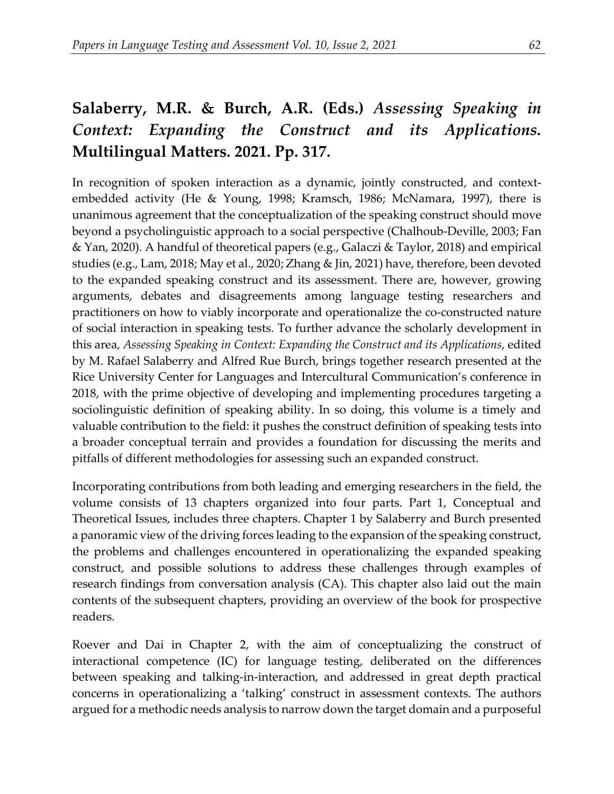## **Salaberry, M.R. & Burch, A.R. (Eds.)** *Assessing Speaking in Context: Expanding the Construct and its Applications.*  **Multilingual Matters. 2021. Pp. 317.**

In recognition of spoken interaction as a dynamic, jointly constructed, and contextembedded activity (He & Young, 1998; Kramsch, 1986; McNamara, 1997), there is unanimous agreement that the conceptualization of the speaking construct should move beyond a psycholinguistic approach to a social perspective (Chalhoub-Deville, 2003; Fan & Yan, 2020). A handful of theoretical papers (e.g., Galaczi & Taylor, 2018) and empirical studies (e.g., Lam, 2018; May et al., 2020; Zhang & Jin, 2021) have, therefore, been devoted to the expanded speaking construct and its assessment. There are, however, growing arguments, debates and disagreements among language testing researchers and practitioners on how to viably incorporate and operationalize the co-constructed nature of social interaction in speaking tests. To further advance the scholarly development in this area, *Assessing Speaking in Context: Expanding the Construct and its Applications*, edited by M. Rafael Salaberry and Alfred Rue Burch, brings together research presented at the Rice University Center for Languages and Intercultural Communication's conference in 2018, with the prime objective of developing and implementing procedures targeting a sociolinguistic definition of speaking ability. In so doing, this volume is a timely and valuable contribution to the field: it pushes the construct definition of speaking tests into a broader conceptual terrain and provides a foundation for discussing the merits and pitfalls of different methodologies for assessing such an expanded construct.

Incorporating contributions from both leading and emerging researchers in the field, the volume consists of 13 chapters organized into four parts. Part 1, Conceptual and Theoretical Issues, includes three chapters. Chapter 1 by Salaberry and Burch presented a panoramic view of the driving forces leading to the expansion of the speaking construct, the problems and challenges encountered in operationalizing the expanded speaking construct, and possible solutions to address these challenges through examples of research findings from conversation analysis (CA). This chapter also laid out the main contents of the subsequent chapters, providing an overview of the book for prospective readers.

Roever and Dai in Chapter 2, with the aim of conceptualizing the construct of interactional competence (IC) for language testing, deliberated on the differences between speaking and talking-in-interaction, and addressed in great depth practical concerns in operationalizing a 'talking' construct in assessment contexts. The authors argued for a methodic needs analysis to narrow down the target domain and a purposeful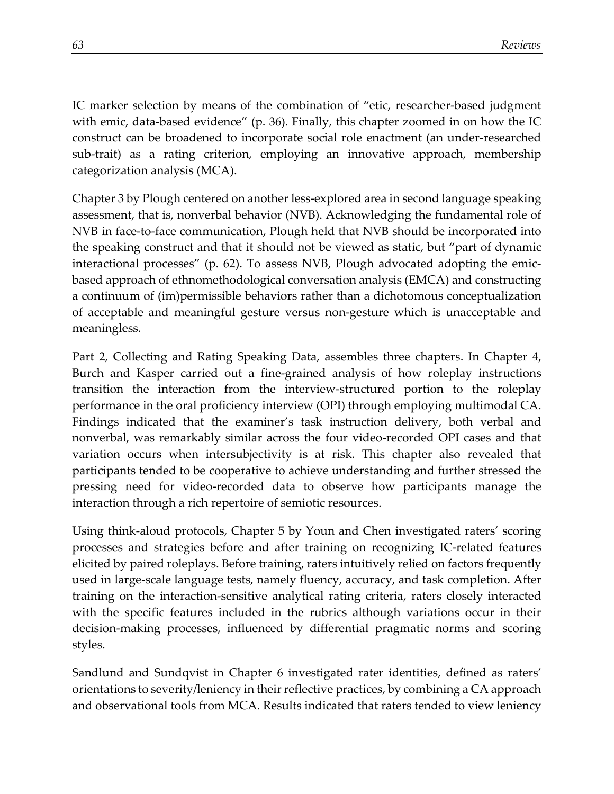IC marker selection by means of the combination of "etic, researcher-based judgment with emic, data-based evidence" (p. 36). Finally, this chapter zoomed in on how the IC construct can be broadened to incorporate social role enactment (an under-researched sub-trait) as a rating criterion, employing an innovative approach, membership categorization analysis (MCA).

Chapter 3 by Plough centered on another less-explored area in second language speaking assessment, that is, nonverbal behavior (NVB). Acknowledging the fundamental role of NVB in face-to-face communication, Plough held that NVB should be incorporated into the speaking construct and that it should not be viewed as static, but "part of dynamic interactional processes" (p. 62). To assess NVB, Plough advocated adopting the emicbased approach of ethnomethodological conversation analysis (EMCA) and constructing a continuum of (im)permissible behaviors rather than a dichotomous conceptualization of acceptable and meaningful gesture versus non-gesture which is unacceptable and meaningless.

Part 2, Collecting and Rating Speaking Data, assembles three chapters. In Chapter 4, Burch and Kasper carried out a fine-grained analysis of how roleplay instructions transition the interaction from the interview-structured portion to the roleplay performance in the oral proficiency interview (OPI) through employing multimodal CA. Findings indicated that the examiner's task instruction delivery, both verbal and nonverbal, was remarkably similar across the four video-recorded OPI cases and that variation occurs when intersubjectivity is at risk. This chapter also revealed that participants tended to be cooperative to achieve understanding and further stressed the pressing need for video-recorded data to observe how participants manage the interaction through a rich repertoire of semiotic resources.

Using think-aloud protocols, Chapter 5 by Youn and Chen investigated raters' scoring processes and strategies before and after training on recognizing IC-related features elicited by paired roleplays. Before training, raters intuitively relied on factors frequently used in large-scale language tests, namely fluency, accuracy, and task completion. After training on the interaction-sensitive analytical rating criteria, raters closely interacted with the specific features included in the rubrics although variations occur in their decision-making processes, influenced by differential pragmatic norms and scoring styles.

Sandlund and Sundqvist in Chapter 6 investigated rater identities, defined as raters' orientations to severity/leniency in their reflective practices, by combining a CA approach and observational tools from MCA. Results indicated that raters tended to view leniency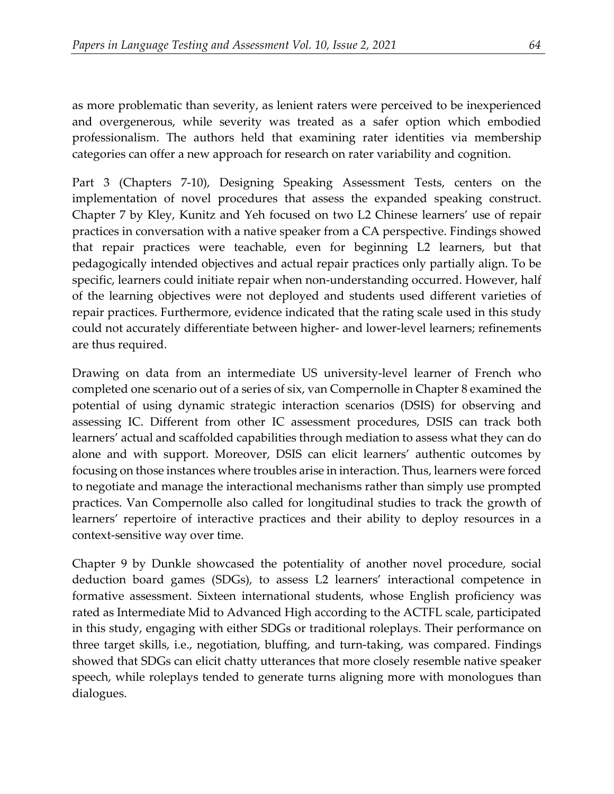as more problematic than severity, as lenient raters were perceived to be inexperienced and overgenerous, while severity was treated as a safer option which embodied professionalism. The authors held that examining rater identities via membership categories can offer a new approach for research on rater variability and cognition.

Part 3 (Chapters 7-10), Designing Speaking Assessment Tests, centers on the implementation of novel procedures that assess the expanded speaking construct. Chapter 7 by Kley, Kunitz and Yeh focused on two L2 Chinese learners' use of repair practices in conversation with a native speaker from a CA perspective. Findings showed that repair practices were teachable, even for beginning L2 learners, but that pedagogically intended objectives and actual repair practices only partially align. To be specific, learners could initiate repair when non-understanding occurred. However, half of the learning objectives were not deployed and students used different varieties of repair practices. Furthermore, evidence indicated that the rating scale used in this study could not accurately differentiate between higher- and lower-level learners; refinements are thus required.

Drawing on data from an intermediate US university-level learner of French who completed one scenario out of a series of six, van Compernolle in Chapter 8 examined the potential of using dynamic strategic interaction scenarios (DSIS) for observing and assessing IC. Different from other IC assessment procedures, DSIS can track both learners' actual and scaffolded capabilities through mediation to assess what they can do alone and with support. Moreover, DSIS can elicit learners' authentic outcomes by focusing on those instances where troubles arise in interaction. Thus, learners were forced to negotiate and manage the interactional mechanisms rather than simply use prompted practices. Van Compernolle also called for longitudinal studies to track the growth of learners' repertoire of interactive practices and their ability to deploy resources in a context-sensitive way over time.

Chapter 9 by Dunkle showcased the potentiality of another novel procedure, social deduction board games (SDGs), to assess L2 learners' interactional competence in formative assessment. Sixteen international students, whose English proficiency was rated as Intermediate Mid to Advanced High according to the ACTFL scale, participated in this study, engaging with either SDGs or traditional roleplays. Their performance on three target skills, i.e., negotiation, bluffing, and turn-taking, was compared. Findings showed that SDGs can elicit chatty utterances that more closely resemble native speaker speech, while roleplays tended to generate turns aligning more with monologues than dialogues.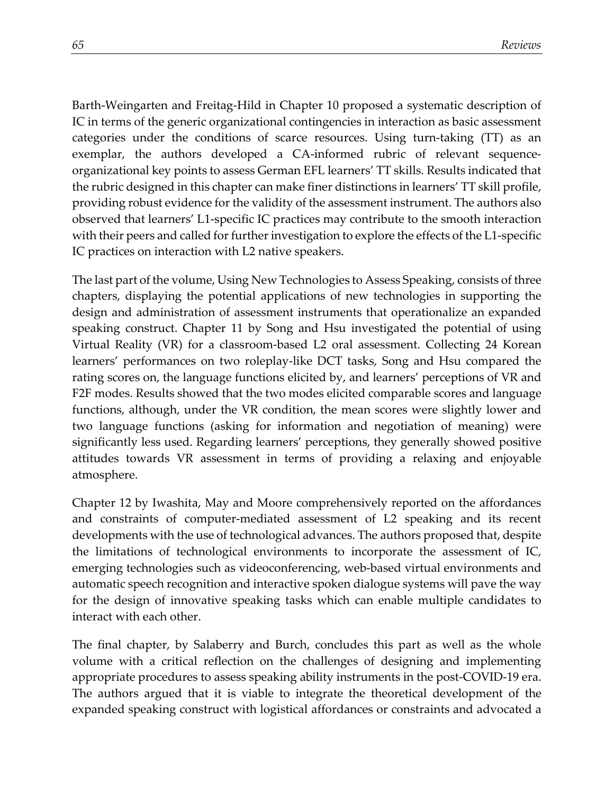Barth-Weingarten and Freitag-Hild in Chapter 10 proposed a systematic description of IC in terms of the generic organizational contingencies in interaction as basic assessment categories under the conditions of scarce resources. Using turn-taking (TT) as an exemplar, the authors developed a CA-informed rubric of relevant sequenceorganizational key points to assess German EFL learners' TT skills. Results indicated that the rubric designed in this chapter can make finer distinctions in learners' TT skill profile, providing robust evidence for the validity of the assessment instrument. The authors also observed that learners' L1-specific IC practices may contribute to the smooth interaction with their peers and called for further investigation to explore the effects of the L1-specific IC practices on interaction with L2 native speakers.

The last part of the volume, Using New Technologies to Assess Speaking, consists of three chapters, displaying the potential applications of new technologies in supporting the design and administration of assessment instruments that operationalize an expanded speaking construct. Chapter 11 by Song and Hsu investigated the potential of using Virtual Reality (VR) for a classroom-based L2 oral assessment. Collecting 24 Korean learners' performances on two roleplay-like DCT tasks, Song and Hsu compared the rating scores on, the language functions elicited by, and learners' perceptions of VR and F2F modes. Results showed that the two modes elicited comparable scores and language functions, although, under the VR condition, the mean scores were slightly lower and two language functions (asking for information and negotiation of meaning) were significantly less used. Regarding learners' perceptions, they generally showed positive attitudes towards VR assessment in terms of providing a relaxing and enjoyable atmosphere.

Chapter 12 by Iwashita, May and Moore comprehensively reported on the affordances and constraints of computer-mediated assessment of L2 speaking and its recent developments with the use of technological advances. The authors proposed that, despite the limitations of technological environments to incorporate the assessment of IC, emerging technologies such as videoconferencing, web-based virtual environments and automatic speech recognition and interactive spoken dialogue systems will pave the way for the design of innovative speaking tasks which can enable multiple candidates to interact with each other.

The final chapter, by Salaberry and Burch, concludes this part as well as the whole volume with a critical reflection on the challenges of designing and implementing appropriate procedures to assess speaking ability instruments in the post-COVID-19 era. The authors argued that it is viable to integrate the theoretical development of the expanded speaking construct with logistical affordances or constraints and advocated a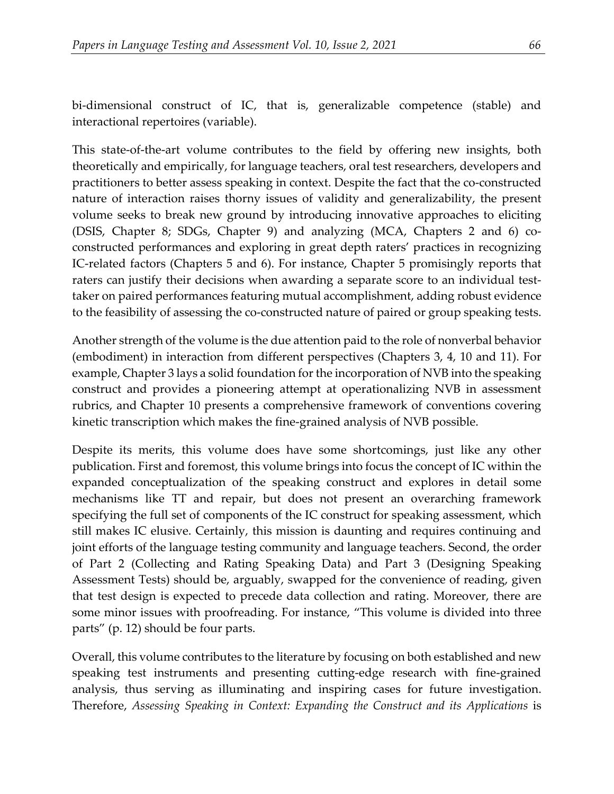bi-dimensional construct of IC, that is, generalizable competence (stable) and interactional repertoires (variable).

This state-of-the-art volume contributes to the field by offering new insights, both theoretically and empirically, for language teachers, oral test researchers, developers and practitioners to better assess speaking in context. Despite the fact that the co-constructed nature of interaction raises thorny issues of validity and generalizability, the present volume seeks to break new ground by introducing innovative approaches to eliciting (DSIS, Chapter 8; SDGs, Chapter 9) and analyzing (MCA, Chapters 2 and 6) coconstructed performances and exploring in great depth raters' practices in recognizing IC-related factors (Chapters 5 and 6). For instance, Chapter 5 promisingly reports that raters can justify their decisions when awarding a separate score to an individual testtaker on paired performances featuring mutual accomplishment, adding robust evidence to the feasibility of assessing the co-constructed nature of paired or group speaking tests.

Another strength of the volume is the due attention paid to the role of nonverbal behavior (embodiment) in interaction from different perspectives (Chapters 3, 4, 10 and 11). For example, Chapter 3 lays a solid foundation for the incorporation of NVB into the speaking construct and provides a pioneering attempt at operationalizing NVB in assessment rubrics, and Chapter 10 presents a comprehensive framework of conventions covering kinetic transcription which makes the fine-grained analysis of NVB possible.

Despite its merits, this volume does have some shortcomings, just like any other publication. First and foremost, this volume brings into focus the concept of IC within the expanded conceptualization of the speaking construct and explores in detail some mechanisms like TT and repair, but does not present an overarching framework specifying the full set of components of the IC construct for speaking assessment, which still makes IC elusive. Certainly, this mission is daunting and requires continuing and joint efforts of the language testing community and language teachers. Second, the order of Part 2 (Collecting and Rating Speaking Data) and Part 3 (Designing Speaking Assessment Tests) should be, arguably, swapped for the convenience of reading, given that test design is expected to precede data collection and rating. Moreover, there are some minor issues with proofreading. For instance, "This volume is divided into three parts" (p. 12) should be four parts.

Overall, this volume contributes to the literature by focusing on both established and new speaking test instruments and presenting cutting-edge research with fine-grained analysis, thus serving as illuminating and inspiring cases for future investigation. Therefore, *Assessing Speaking in Context: Expanding the Construct and its Applications* is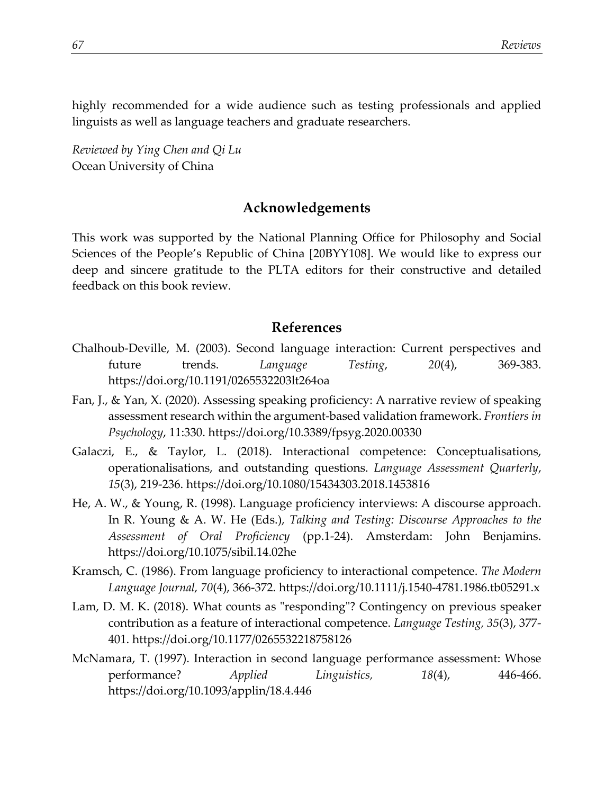highly recommended for a wide audience such as testing professionals and applied linguists as well as language teachers and graduate researchers.

*Reviewed by Ying Chen and Qi Lu* Ocean University of China

## **Acknowledgements**

This work was supported by the National Planning Office for Philosophy and Social Sciences of the People's Republic of China [20BYY108]. We would like to express our deep and sincere gratitude to the PLTA editors for their constructive and detailed feedback on this book review.

## **References**

- Chalhoub-Deville, M. (2003). Second language interaction: Current perspectives and future trends. *Language Testing*, *20*(4), 369-383. https://doi.org/10.1191/0265532203lt264oa
- Fan, J., & Yan, X. (2020). Assessing speaking proficiency: A narrative review of speaking assessment research within the argument-based validation framework. *Frontiers in Psychology*, 11:330.<https://doi.org/10.3389/fpsyg.2020.00330>
- Galaczi, E., & Taylor, L. (2018). Interactional competence: Conceptualisations, operationalisations, and outstanding questions. *Language Assessment Quarterly*, *15*(3), 219-236. https://doi.org/10.1080/15434303.2018.1453816
- He, A. W., & Young, R. (1998). Language proficiency interviews: A discourse approach. In R. Young & A. W. He (Eds.), *Talking and Testing: Discourse Approaches to the Assessment of Oral Proficiency* (pp.1-24). Amsterdam: John Benjamins. https://doi.org/10.1075/sibil.14.02he
- Kramsch, C. (1986). From language proficiency to interactional competence. *The Modern Language Journal, 70*(4), 366-372. https://doi.org/10.1111/j.1540-4781.1986.tb05291.x
- Lam, D. M. K. (2018). What counts as "responding"? Contingency on previous speaker contribution as a feature of interactional competence. *Language Testing, 35*(3), 377- 401. https://doi.org/10.1177/0265532218758126
- McNamara, T. (1997). Interaction in second language performance assessment: Whose performance? *Applied Linguistics, 18*(4), 446-466. <https://doi.org/10.1093/applin/18.4.446>